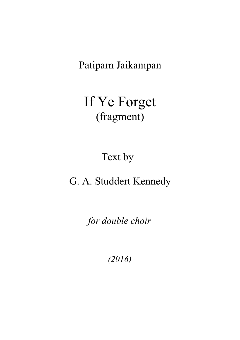Patiparn Jaikampan

# If Ye Forget (fragment)

Text by

## G. A. Studdert Kennedy

*for double choir*

*(2016)*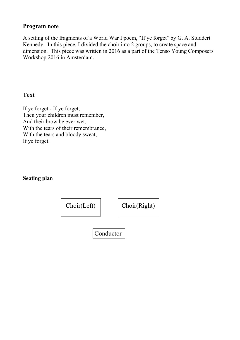#### **Program note**

A setting of the fragments of a World War I poem, "If ye forget" by G. A. Studdert Kennedy. In this piece, I divided the choir into 2 groups, to create space and dimension. This piece was written in 2016 as a part of the Tenso Young Composers Workshop 2016 in Amsterdam.

#### **Text**

If ye forget - If ye forget, Then your children must remember, And their brow be ever wet, With the tears of their remembrance, With the tears and bloody sweat, If ye forget.

#### **Seating plan**

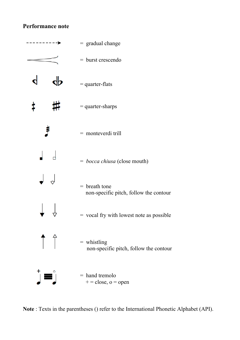#### **Performance note**



**Note** : Texts in the parentheses () refer to the International Phonetic Alphabet (API).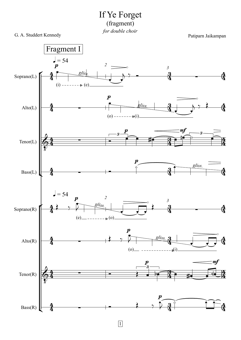### If Ye Forget (fragment) for double choir

G. A. Studdert Kennedy

Patiparn Jaikampan

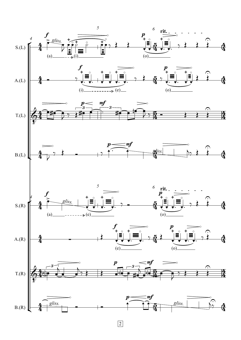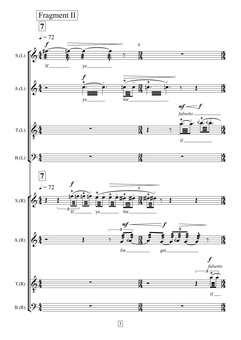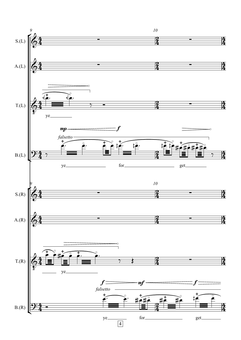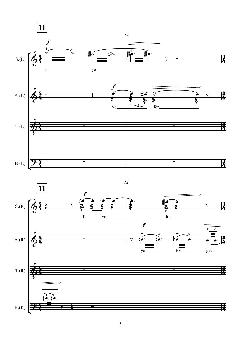$\boxed{11}$ 



 $\boxed{5}$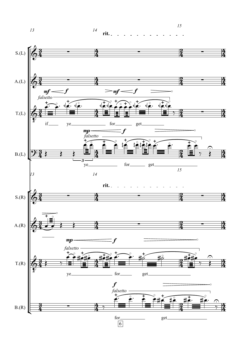**rit.***13 14* **rit** 

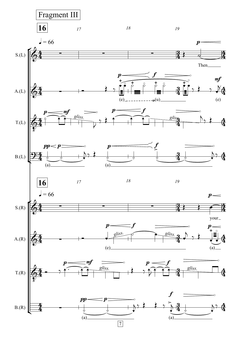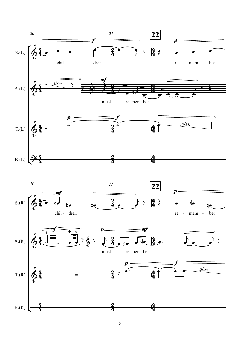

 $\frac{1}{8}$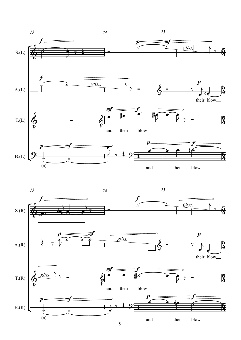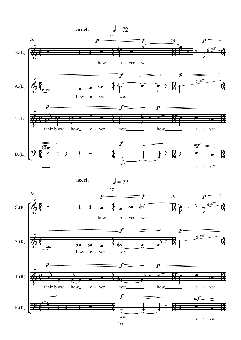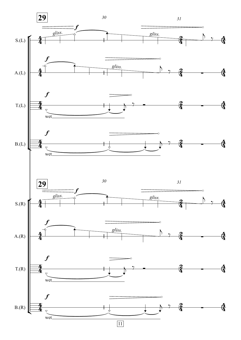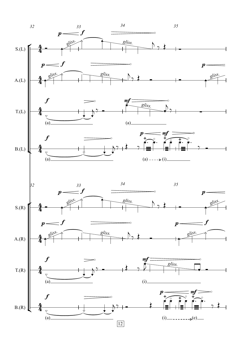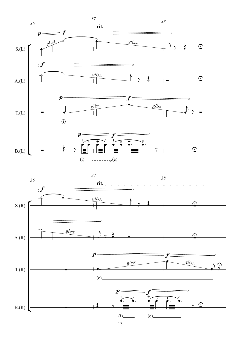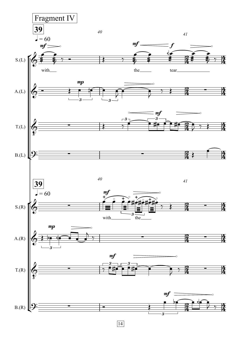

 $\boxed{14}$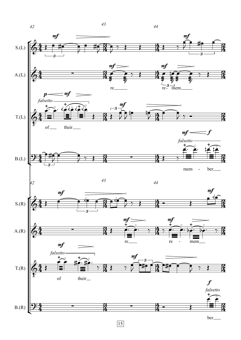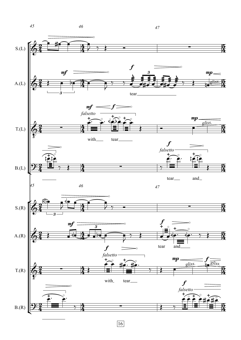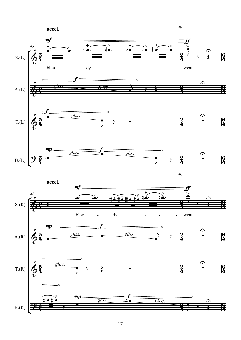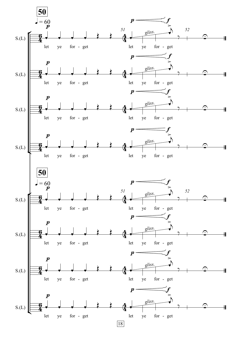